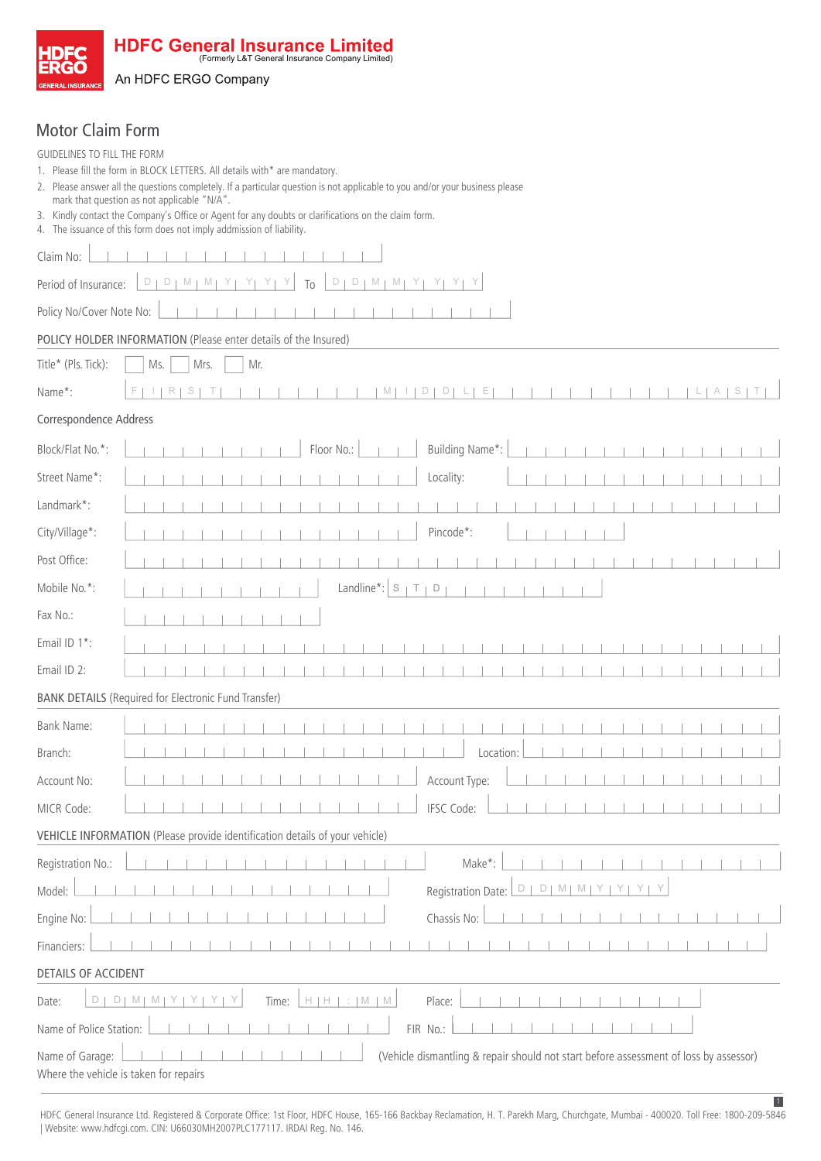

HDFC General Insurance Limited

An HDFC ERGO Company

## Motor Claim Form

| GUIDELINES TO FILL THE FORM<br>1. Please fill the form in BLOCK LETTERS. All details with* are mandatory.<br>2. Please answer all the questions completely. If a particular question is not applicable to you and/or your business please |  |  |  |  |
|-------------------------------------------------------------------------------------------------------------------------------------------------------------------------------------------------------------------------------------------|--|--|--|--|
| mark that question as not applicable "N/A".                                                                                                                                                                                               |  |  |  |  |
| 3. Kindly contact the Company's Office or Agent for any doubts or clarifications on the claim form.<br>4. The issuance of this form does not imply addmission of liability.                                                               |  |  |  |  |
| Claim No:                                                                                                                                                                                                                                 |  |  |  |  |
| $\Box$<br>$D$   M   M  <br>D<br>M<br>Period of Insurance:<br>D<br>M<br>Y<br>To                                                                                                                                                            |  |  |  |  |
| Policy No/Cover Note No:                                                                                                                                                                                                                  |  |  |  |  |
| POLICY HOLDER INFORMATION (Please enter details of the Insured)                                                                                                                                                                           |  |  |  |  |
| Title* (Pls. Tick):<br>Mr.<br>Ms.<br>Mrs.                                                                                                                                                                                                 |  |  |  |  |
| Name*:<br>D<br>D<br>Е                                                                                                                                                                                                                     |  |  |  |  |
| Correspondence Address                                                                                                                                                                                                                    |  |  |  |  |
| Building Name*:<br>Block/Flat No.*:<br>Floor No.:                                                                                                                                                                                         |  |  |  |  |
| Street Name*:<br>Locality:                                                                                                                                                                                                                |  |  |  |  |
| Landmark*:                                                                                                                                                                                                                                |  |  |  |  |
| City/Village*:<br>Pincode*:                                                                                                                                                                                                               |  |  |  |  |
| Post Office:                                                                                                                                                                                                                              |  |  |  |  |
| Landline $^*$ : $\vert$ S<br>Mobile No.*:<br>Τ<br>D                                                                                                                                                                                       |  |  |  |  |
| Fax No.:                                                                                                                                                                                                                                  |  |  |  |  |
| Email ID 1*:                                                                                                                                                                                                                              |  |  |  |  |
| Email ID 2:                                                                                                                                                                                                                               |  |  |  |  |
| <b>BANK DETAILS (Required for Electronic Fund Transfer)</b>                                                                                                                                                                               |  |  |  |  |
| Bank Name:                                                                                                                                                                                                                                |  |  |  |  |
| Branch:<br>Location:                                                                                                                                                                                                                      |  |  |  |  |
| Account Type:<br>Account No:                                                                                                                                                                                                              |  |  |  |  |
| IFSC Code:<br>MICR Code:                                                                                                                                                                                                                  |  |  |  |  |
| VEHICLE INFORMATION (Please provide identification details of your vehicle)                                                                                                                                                               |  |  |  |  |
| Make*:<br>Registration No.:                                                                                                                                                                                                               |  |  |  |  |
| Registration Date:<br>Model:<br>D<br>$D \mid M \mid M \mid Y \mid$<br>YY<br>ΥI                                                                                                                                                            |  |  |  |  |
| Chassis No:<br>Engine No:                                                                                                                                                                                                                 |  |  |  |  |
| Financiers:                                                                                                                                                                                                                               |  |  |  |  |
| <b>DETAILS OF ACCIDENT</b>                                                                                                                                                                                                                |  |  |  |  |
| $H$   $H$  <br>M I<br>Time:<br>$: M \times M$<br>Place:<br>Date:<br>D<br>D <sub>1</sub><br>M                                                                                                                                              |  |  |  |  |
| FIR No.:<br>Name of Police Station:                                                                                                                                                                                                       |  |  |  |  |
| (Vehicle dismantling & repair should not start before assessment of loss by assessor)<br>Name of Garage:<br>Where the vehicle is taken for repairs                                                                                        |  |  |  |  |

1 HDFC General Insurance Ltd. Registered & Corporate Office: 1st Floor, HDFC House, 165-166 Backbay Reclamation, H. T. Parekh Marg, Churchgate, Mumbai - 400020. Toll Free: 1800-209-5846 | Website: www.hdfcgi.com. CIN: U66030MH2007PLC177117. IRDAI Reg. No. 146.